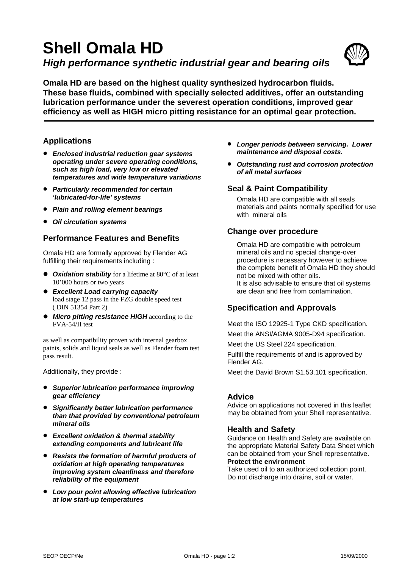# **Shell Omala HD**  *High performance synthetic industrial gear and bearing oils*



**Omala HD are based on the highest quality synthesized hydrocarbon fluids. These base fluids, combined with specially selected additives, offer an outstanding lubrication performance under the severest operation conditions, improved gear efficiency as well as HIGH micro pitting resistance for an optimal gear protection.**

#### **Applications**

- *Enclosed industrial reduction gear systems operating under severe operating conditions, such as high load, very low or elevated temperatures and wide temperature variations*
- *Particularly recommended for certain 'lubricated-for-life' systems*
- *Plain and rolling element bearings*
- *Oil circulation systems*

### **Performance Features and Benefits**

Omala HD are formally approved by Flender AG fulfilling their requirements including :

- **Oxidation stability** for a lifetime at 80°C of at least 10'000 hours or two years
- z *Excellent Load carrying capacity*  load stage 12 pass in the FZG double speed test ( DIN 51354 Part 2)
- **Micro pitting resistance HIGH** according to the FVA-54/II test

as well as compatibility proven with internal gearbox paints, solids and liquid seals as well as Flender foam test pass result.

Additionally, they provide :

- *Superior lubrication performance improving gear efficiency*
- *Significantly better lubrication performance than that provided by conventional petroleum mineral oils*
- *Excellent oxidation & thermal stability extending components and lubricant life*
- *Resists the formation of harmful products of oxidation at high operating temperatures improving system cleanliness and therefore reliability of the equipment*
- *Low pour point allowing effective lubrication at low start-up temperatures*
- *Longer periods between servicing. Lower maintenance and disposal costs.*
- *Outstanding rust and corrosion protection of all metal surfaces*

#### **Seal & Paint Compatibility**

Omala HD are compatible with all seals materials and paints normally specified for use with mineral oils

#### **Change over procedure**

Omala HD are compatible with petroleum mineral oils and no special change-over procedure is necessary however to achieve the complete benefit of Omala HD they should not be mixed with other oils. It is also advisable to ensure that oil systems are clean and free from contamination.

## **Specification and Approvals**

Meet the ISO 12925-1 Type CKD specification.

Meet the ANSI/AGMA 9005-D94 specification.

Meet the US Steel 224 specification.

Fulfill the requirements of and is approved by Flender AG.

Meet the David Brown S1.53.101 specification.

#### **Advice**

Advice on applications not covered in this leaflet may be obtained from your Shell representative.

#### **Health and Safety**

Guidance on Health and Safety are available on the appropriate Material Safety Data Sheet which can be obtained from your Shell representative. **Protect the environment** 

Take used oil to an authorized collection point. Do not discharge into drains, soil or water.